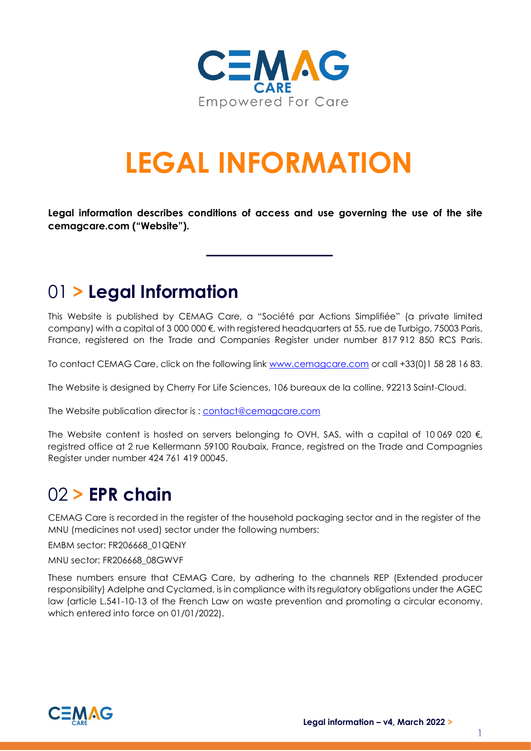

# **LEGAL INFORMATION**

**Legal information describes conditions of access and use governing the use of the site cemagcare.com ("Website").**

#### 01 **> Legal Information**

This Website is published by CEMAG Care, a "Société par Actions Simplifiée" (a private limited company) with a capital of 3 000 000 €, with registered headquarters at 55, rue de Turbigo, 75003 Paris, France, registered on the Trade and Companies Register under number 817 912 850 RCS Paris.

To contact CEMAG Care, click on the following link [www.cemagcare.com](http://www.cemagcare.com/) or call +33(0)1 58 28 16 83.

The Website is designed by Cherry For Life Sciences, 106 bureaux de la colline, 92213 Saint-Cloud.

The Website publication director is: [contact@cemagcare.com](mailto:contact@cemagcare.com)

The Website content is hosted on servers belonging to OVH, SAS, with a capital of 10069 020  $\epsilon$ , registred office at 2 rue Kellermann 59100 Roubaix, France, registred on the Trade and Compagnies Register under number 424 761 419 00045.

#### 02 **> EPR chain**

CEMAG Care is recorded in the register of the household packaging sector and in the register of the MNU (medicines not used) sector under the following numbers:

EMBM sector: FR206668\_01QENY

MNU sector: FR206668\_08GWVF

These numbers ensure that CEMAG Care, by adhering to the channels REP (Extended producer responsibility) Adelphe and Cyclamed, is in compliance with its regulatory obligations under the AGEC law (article L.541-10-13 of the French Law on waste prevention and promoting a circular economy, which entered into force on 01/01/2022).

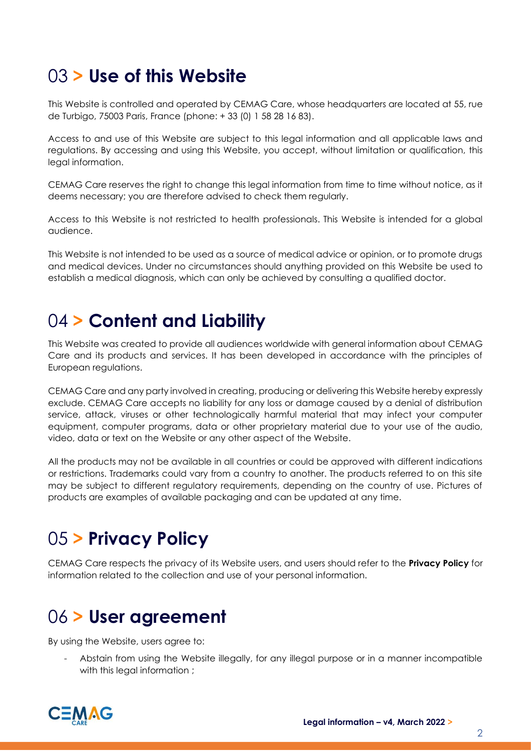## 03 **> Use of this Website**

This Website is controlled and operated by CEMAG Care, whose headquarters are located at 55, rue de Turbigo, 75003 Paris, France (phone: + 33 (0) 1 58 28 16 83).

Access to and use of this Website are subject to this legal information and all applicable laws and regulations. By accessing and using this Website, you accept, without limitation or qualification, this legal information.

CEMAG Care reserves the right to change this legal information from time to time without notice, as it deems necessary; you are therefore advised to check them regularly.

Access to this Website is not restricted to health professionals. This Website is intended for a global audience.

This Website is not intended to be used as a source of medical advice or opinion, or to promote drugs and medical devices. Under no circumstances should anything provided on this Website be used to establish a medical diagnosis, which can only be achieved by consulting a qualified doctor.

#### 04 **> Content and Liability**

This Website was created to provide all audiences worldwide with general information about CEMAG Care and its products and services. It has been developed in accordance with the principles of European regulations.

CEMAG Care and any party involved in creating, producing or delivering this Website hereby expressly exclude. CEMAG Care accepts no liability for any loss or damage caused by a denial of distribution service, attack, viruses or other technologically harmful material that may infect your computer equipment, computer programs, data or other proprietary material due to your use of the audio, video, data or text on the Website or any other aspect of the Website.

All the products may not be available in all countries or could be approved with different indications or restrictions. Trademarks could vary from a country to another. The products referred to on this site may be subject to different regulatory requirements, depending on the country of use. Pictures of products are examples of available packaging and can be updated at any time.

# 05 **> Privacy Policy**

CEMAG Care respects the privacy of its Website users, and users should refer to the **Privacy Policy** for information related to the collection and use of your personal information.

## 06 **> User agreement**

By using the Website, users agree to:

Abstain from using the Website illegally, for any illegal purpose or in a manner incompatible with this legal information ;

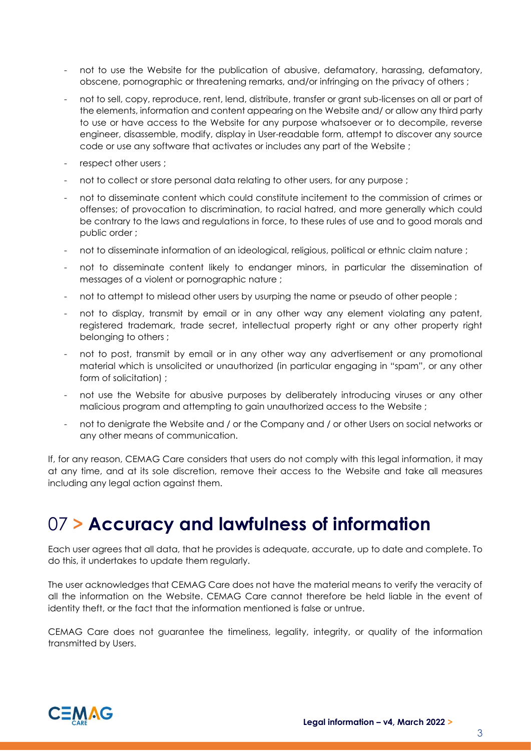- not to use the Website for the publication of abusive, defamatory, harassing, defamatory, obscene, pornographic or threatening remarks, and/or infringing on the privacy of others ;
- not to sell, copy, reproduce, rent, lend, distribute, transfer or grant sub-licenses on all or part of the elements, information and content appearing on the Website and/ or allow any third party to use or have access to the Website for any purpose whatsoever or to decompile, reverse engineer, disassemble, modify, display in User-readable form, attempt to discover any source code or use any software that activates or includes any part of the Website ;
- respect other users ;
- not to collect or store personal data relating to other users, for any purpose;
- not to disseminate content which could constitute incitement to the commission of crimes or offenses; of provocation to discrimination, to racial hatred, and more generally which could be contrary to the laws and regulations in force, to these rules of use and to good morals and public order ;
- not to disseminate information of an ideological, religious, political or ethnic claim nature ;
- not to disseminate content likely to endanger minors, in particular the dissemination of messages of a violent or pornographic nature ;
- not to attempt to mislead other users by usurping the name or pseudo of other people;
- not to display, transmit by email or in any other way any element violating any patent, registered trademark, trade secret, intellectual property right or any other property right belonging to others ;
- not to post, transmit by email or in any other way any advertisement or any promotional material which is unsolicited or unauthorized (in particular engaging in "spam", or any other form of solicitation) ;
- not use the Website for abusive purposes by deliberately introducing viruses or any other malicious program and attempting to gain unauthorized access to the Website ;
- not to denigrate the Website and / or the Company and / or other Users on social networks or any other means of communication.

If, for any reason, CEMAG Care considers that users do not comply with this legal information, it may at any time, and at its sole discretion, remove their access to the Website and take all measures including any legal action against them.

## 07 **> Accuracy and lawfulness of information**

Each user agrees that all data, that he provides is adequate, accurate, up to date and complete. To do this, it undertakes to update them regularly.

The user acknowledges that CEMAG Care does not have the material means to verify the veracity of all the information on the Website. CEMAG Care cannot therefore be held liable in the event of identity theft, or the fact that the information mentioned is false or untrue.

CEMAG Care does not guarantee the timeliness, legality, integrity, or quality of the information transmitted by Users.

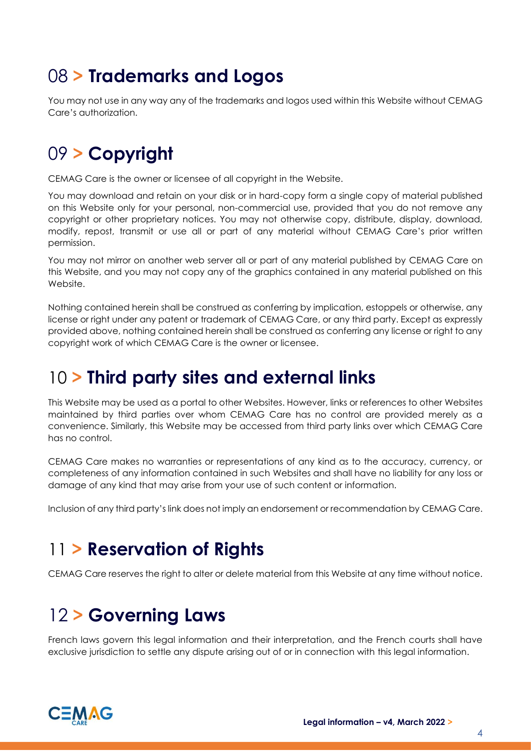## 08 **> Trademarks and Logos**

You may not use in any way any of the trademarks and logos used within this Website without CEMAG Care's authorization.

# 09 **> Copyright**

CEMAG Care is the owner or licensee of all copyright in the Website.

You may download and retain on your disk or in hard-copy form a single copy of material published on this Website only for your personal, non-commercial use, provided that you do not remove any copyright or other proprietary notices. You may not otherwise copy, distribute, display, download, modify, repost, transmit or use all or part of any material without CEMAG Care's prior written permission.

You may not mirror on another web server all or part of any material published by CEMAG Care on this Website, and you may not copy any of the graphics contained in any material published on this Website.

Nothing contained herein shall be construed as conferring by implication, estoppels or otherwise, any license or right under any patent or trademark of CEMAG Care, or any third party. Except as expressly provided above, nothing contained herein shall be construed as conferring any license or right to any copyright work of which CEMAG Care is the owner or licensee.

## 10 **> Third party sites and external links**

This Website may be used as a portal to other Websites. However, links or references to other Websites maintained by third parties over whom CEMAG Care has no control are provided merely as a convenience. Similarly, this Website may be accessed from third party links over which CEMAG Care has no control.

CEMAG Care makes no warranties or representations of any kind as to the accuracy, currency, or completeness of any information contained in such Websites and shall have no liability for any loss or damage of any kind that may arise from your use of such content or information.

Inclusion of any third party's link does not imply an endorsement or recommendation by CEMAG Care.

# 11 **> Reservation of Rights**

CEMAG Care reserves the right to alter or delete material from this Website at any time without notice.

## 12 **> Governing Laws**

French laws govern this legal information and their interpretation, and the French courts shall have exclusive jurisdiction to settle any dispute arising out of or in connection with this legal information.